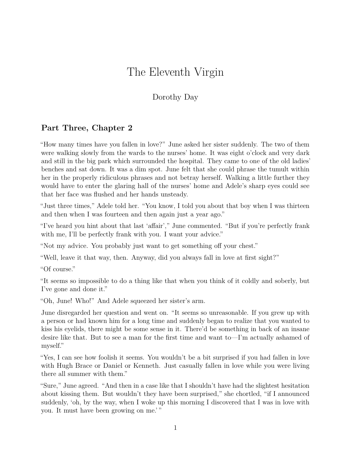## The Eleventh Virgin

## Dorothy Day

## **Part Three, Chapter 2**

"How many times have you fallen in love?" June asked her sister suddenly. The two of them were walking slowly from the wards to the nurses' home. It was eight o'clock and very dark and still in the big park which surrounded the hospital. They came to one of the old ladies' benches and sat down. It was a dim spot. June felt that she could phrase the tumult within her in the properly ridiculous phrases and not betray herself. Walking a little further they would have to enter the glaring hall of the nurses' home and Adele's sharp eyes could see that her face was flushed and her hands unsteady.

"Just three times," Adele told her. "You know, I told you about that boy when I was thirteen and then when I was fourteen and then again just a year ago."

"I've heard you hint about that last 'affair'," June commented. "But if you're perfectly frank with me, I'll be perfectly frank with you. I want your advice."

"Not my advice. You probably just want to get something off your chest."

"Well, leave it that way, then. Anyway, did you always fall in love at first sight?"

"Of course."

"It seems so impossible to do a thing like that when you think of it coldly and soberly, but I've gone and done it."

"Oh, June! Who!" And Adele squeezed her sister's arm.

June disregarded her question and went on. "It seems so unreasonable. If you grew up with a person or had known him for a long time and suddenly began to realize that you wanted to kiss his eyelids, there might be some sense in it. There'd be something in back of an insane desire like that. But to see a man for the first time and want to—I'm actually ashamed of myself."

"Yes, I can see how foolish it seems. You wouldn't be a bit surprised if you had fallen in love with Hugh Brace or Daniel or Kenneth. Just casually fallen in love while you were living there all summer with them."

"Sure," June agreed. "And then in a case like that I shouldn't have had the slightest hesitation about kissing them. But wouldn't they have been surprised," she chortled, "if I announced suddenly, 'oh, by the way, when I woke up this morning I discovered that I was in love with you. It must have been growing on me.' "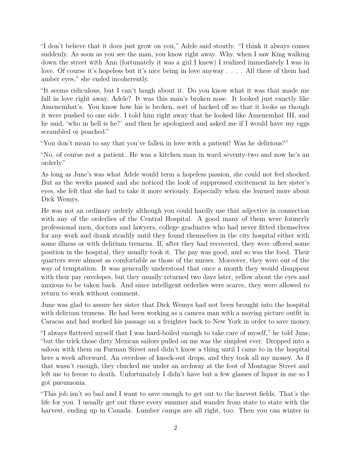"I don't believe that it does just grow on you," Adele said stoutly. "I think it always comes suddenly. As soon as you see the man, you know right away. Why, when I saw King walking down the street with Ann (fortunately it was a girl I knew) I realized immediately I was in love. Of course it's hopeless but it's nice being in love anyway . . . . All three of them had amber eyes," she ended incoherently.

"It seems ridiculous, but I can't laugh about it. Do you know what it was that made me fall in love right away, Adele? It was this man's broken nose. It looked just exactly like Amenemhat's. You know how his is broken, sort of hacked off so that it looks as though it were pushed to one side. I told him right away that he looked like Amenemhat III, and he said, 'who in hell is he?' and then he apologized and asked me if I would have my eggs scrambled or poached."

"You don't mean to say that you've fallen in love with a patient! Was he delirious?"

"No, of course not a patient. He was a kitchen man in ward seventy-two and now he's an orderly."

As long as June's was what Adele would term a hopeless passion, she could not feel shocked. But as the weeks passed and she noticed the look of suppressed excitement in her sister's eyes, she felt that she had to take it more seriously. Especially when she learned more about Dick Wemys.

He was not an ordinary orderly although you could hardly use that adjective in connection with any of the orderlies of the Central Hospital. A good many of them were formerly professional men, doctors and lawyers, college graduates who had never fitted themselves for any work and drank steadily until they found themselves in the city hospital either with some illness or with delirium tremens. If, after they had recovered, they were offered some position in the hospital, they usually took it. The pay was good, and so was the food. Their quarters were almost as comfortable as those of the nurses. Moreover, they were out of the way of temptation. It was generally understood that once a month they would disappear with their pay envelopes, but they usually returned two days later, yellow about the eyes and anxious to be taken back. And since intelligent orderlies were scarce, they were allowed to return to work without comment.

June was glad to assure her sister that Dick Wemys had not been brought into the hospital with delirium tremens. He had been working as a camera man with a moving picture outfit in Caracas and had worked his passage on a freighter back to New York in order to save money.

"I always flattered myself that I was hard-boiled enough to take care of myself," he told June, "but the trick those dirty Mexican sailors pulled on me was the simplest ever. Dropped into a saloon with them on Furman Street and didn't know a thing until I came to in the hospital here a week afterward. An overdose of knock-out drops, and they took all my money. As if that wasn't enough, they chucked me under an archway at the foot of Montague Street and left me to freeze to death. Unfortunately I didn't have but a few glasses of liquor in me so I got pneumonia.

"This job isn't so bad and I want to save enough to get out to the harvest fields. That's the life for you. I usually get out there every summer and wander from state to state with the harvest, ending up in Canada. Lumber camps are all right, too. Then you can winter in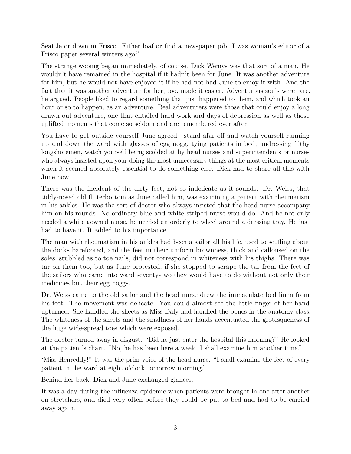Seattle or down in Frisco. Either loaf or find a newspaper job. I was woman's editor of a Frisco paper several winters ago."

The strange wooing began immediately, of course. Dick Wemys was that sort of a man. He wouldn't have remained in the hospital if it hadn't been for June. It was another adventure for him, but he would not have enjoyed it if he had not had June to enjoy it with. And the fact that it was another adventure for her, too, made it easier. Adventurous souls were rare, he argued. People liked to regard something that just happened to them, and which took an hour or so to happen, as an adventure. Real adventurers were those that could enjoy a long drawn out adventure, one that entailed hard work and days of depression as well as those uplifted moments that come so seldom and are remembered ever after.

You have to get outside yourself June agreed—stand afar off and watch yourself running up and down the ward with glasses of egg nogg, tying patients in bed, undressing filthy longshoremen, watch yourself being scolded at by head nurses and superintendents or nurses who always insisted upon your doing the most unnecessary things at the most critical moments when it seemed absolutely essential to do something else. Dick had to share all this with June now.

There was the incident of the dirty feet, not so indelicate as it sounds. Dr. Weiss, that tiddy-nosed old flitterbottom as June called him, was examining a patient with rheumatism in his ankles. He was the sort of doctor who always insisted that the head nurse accompany him on his rounds. No ordinary blue and white striped nurse would do. And he not only needed a white gowned nurse, he needed an orderly to wheel around a dressing tray. He just had to have it. It added to his importance.

The man with rheumatism in his ankles had been a sailor all his life, used to scuffing about the docks barefooted, and the feet in their uniform brownness, thick and calloused on the soles, stubbled as to toe nails, did not correspond in whiteness with his thighs. There was tar on them too, but as June protested, if she stopped to scrape the tar from the feet of the sailors who came into ward seventy-two they would have to do without not only their medicines but their egg noggs.

Dr. Weiss came to the old sailor and the head nurse drew the immaculate bed linen from his feet. The movement was delicate. You could almost see the little finger of her hand upturned. She handled the sheets as Miss Daly had handled the bones in the anatomy class. The whiteness of the sheets and the smallness of her hands accentuated the grotesqueness of the huge wide-spread toes which were exposed.

The doctor turned away in disgust. "Did he just enter the hospital this morning?" He looked at the patient's chart. "No, he has been here a week. I shall examine him another time."

"Miss Henreddy!" It was the prim voice of the head nurse. "I shall examine the feet of every patient in the ward at eight o'clock tomorrow morning."

Behind her back, Dick and June exchanged glances.

It was a day during the influenza epidemic when patients were brought in one after another on stretchers, and died very often before they could be put to bed and had to be carried away again.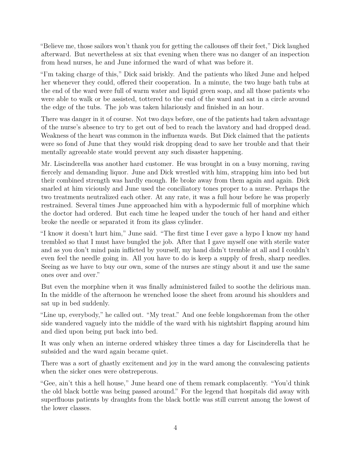"Believe me, those sailors won't thank you for getting the callouses off their feet," Dick laughed afterward. But nevertheless at six that evening when there was no danger of an inspection from head nurses, he and June informed the ward of what was before it.

"I'm taking charge of this," Dick said briskly. And the patients who liked June and helped her whenever they could, offered their cooperation. In a minute, the two huge bath tubs at the end of the ward were full of warm water and liquid green soap, and all those patients who were able to walk or be assisted, tottered to the end of the ward and sat in a circle around the edge of the tubs. The job was taken hilariously and finished in an hour.

There was danger in it of course. Not two days before, one of the patients had taken advantage of the nurse's absence to try to get out of bed to reach the lavatory and had dropped dead. Weakness of the heart was common in the influenza wards. But Dick claimed that the patients were so fond of June that they would risk dropping dead to save her trouble and that their mentally agreeable state would prevent any such disaster happening.

Mr. Liscinderella was another hard customer. He was brought in on a busy morning, raving fiercely and demanding liquor. June and Dick wrestled with him, strapping him into bed but their combined strength was hardly enough. He broke away from them again and again. Dick snarled at him viciously and June used the conciliatory tones proper to a nurse. Perhaps the two treatments neutralized each other. At any rate, it was a full hour before he was properly restrained. Several times June approached him with a hypodermic full of morphine which the doctor had ordered. But each time he leaped under the touch of her hand and either broke the needle or separated it from its glass cylinder.

"I know it doesn't hurt him," June said. "The first time I ever gave a hypo I know my hand trembled so that I must have bungled the job. After that I gave myself one with sterile water and as you don't mind pain inflicted by yourself, my hand didn't tremble at all and I couldn't even feel the needle going in. All you have to do is keep a supply of fresh, sharp needles. Seeing as we have to buy our own, some of the nurses are stingy about it and use the same ones over and over."

But even the morphine when it was finally administered failed to soothe the delirious man. In the middle of the afternoon he wrenched loose the sheet from around his shoulders and sat up in bed suddenly.

"Line up, everybody," he called out. "My treat." And one feeble longshoreman from the other side wandered vaguely into the middle of the ward with his nightshirt flapping around him and died upon being put back into bed.

It was only when an interne ordered whiskey three times a day for Liscinderella that he subsided and the ward again became quiet.

There was a sort of ghastly excitement and joy in the ward among the convalescing patients when the sicker ones were obstreperous.

"Gee, ain't this a hell house," June heard one of them remark complacently. "You'd think the old black bottle was being passed around." For the legend that hospitals did away with superfluous patients by draughts from the black bottle was still current among the lowest of the lower classes.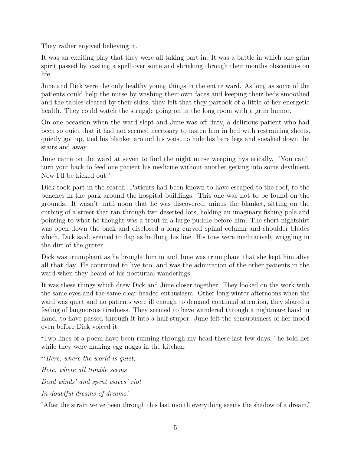They rather enjoyed believing it.

It was an exciting play that they were all taking part in. It was a battle in which one grim spirit passed by, casting a spell over some and shrieking through their mouths obscenities on life.

June and Dick were the only healthy young things in the entire ward. As long as some of the patients could help the nurse by washing their own faces and keeping their beds smoothed and the tables cleared by their sides, they felt that they partook of a little of her energetic health. They could watch the struggle going on in the long room with a grim humor.

On one occasion when the ward slept and June was off duty, a delirious patient who had been so quiet that it had not seemed necessary to fasten him in bed with restraining sheets, quietly got up, tied his blanket around his waist to hide his bare legs and sneaked down the stairs and away.

June came on the ward at seven to find the night nurse weeping hysterically. "You can't turn your back to feed one patient his medicine without another getting into some devilment. Now I'll be kicked out."

Dick took part in the search. Patients had been known to have escaped to the roof, to the benches in the park around the hospital buildings. This one was not to be found on the grounds. It wasn't until noon that he was discovered, minus the blanket, sitting on the curbing of a street that ran through two deserted lots, holding an imaginary fishing pole and pointing to what he thought was a trout in a large puddle before him. The short nightshirt was open down the back and disclosed a long curved spinal column and shoulder blades which, Dick said, seemed to flap as he flung his line. His toes were meditatively wriggling in the dirt of the gutter.

Dick was triumphant as he brought him in and June was triumphant that she kept him alive all that day. He continued to live too, and was the admiration of the other patients in the ward when they heard of his nocturnal wanderings.

It was these things which drew Dick and June closer together. They looked on the work with the same eyes and the same clear-headed enthusiasm. Other long winter afternoons when the ward was quiet and no patients were ill enough to demand continual attention, they shared a feeling of languorous tiredness. They seemed to have wandered through a nightmare hand in hand, to have passed through it into a half stupor. June felt the sensuousness of her mood even before Dick voiced it.

"Two lines of a poem have been running through my head these last few days," he told her while they were making egg noggs in the kitchen:

"'*Here, where the world is quiet, Here, where all trouble seems Dead winds' and spent waves' riot In doubtful dreams of dreams*.'

"After the strain we've been through this last month everything seems the shadow of a dream."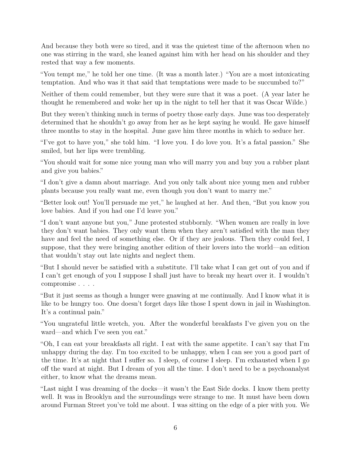And because they both were so tired, and it was the quietest time of the afternoon when no one was stirring in the ward, she leaned against him with her head on his shoulder and they rested that way a few moments.

"You tempt me," he told her one time. (It was a month later.) "You are a most intoxicating temptation. And who was it that said that temptations were made to be succumbed to?"

Neither of them could remember, but they were sure that it was a poet. (A year later he thought he remembered and woke her up in the night to tell her that it was Oscar Wilde.)

But they weren't thinking much in terms of poetry those early days. June was too desperately determined that he shouldn't go away from her as he kept saying he would. He gave himself three months to stay in the hospital. June gave him three months in which to seduce her.

"I've got to have you," she told him. "I love you. I do love you. It's a fatal passion." She smiled, but her lips were trembling.

"You should wait for some nice young man who will marry you and buy you a rubber plant and give you babies."

"I don't give a damn about marriage. And you only talk about nice young men and rubber plants because you really want me, even though you don't want to marry me."

"Better look out! You'll persuade me yet," he laughed at her. And then, "But you know you love babies. And if you had one I'd leave you."

"I don't want anyone but you," June protested stubbornly. "When women are really in love they don't want babies. They only want them when they aren't satisfied with the man they have and feel the need of something else. Or if they are jealous. Then they could feel, I suppose, that they were bringing another edition of their lovers into the world—an edition that wouldn't stay out late nights and neglect them.

"But I should never be satisfied with a substitute. I'll take what I can get out of you and if I can't get enough of you I suppose I shall just have to break my heart over it. I wouldn't compromise . . . .

"But it just seems as though a hunger were gnawing at me continually. And I know what it is like to be hungry too. One doesn't forget days like those I spent down in jail in Washington. It's a continual pain."

"You ungrateful little wretch, you. After the wonderful breakfasts I've given you on the ward—and which I've seen you eat."

"Oh, I can eat your breakfasts all right. I eat with the same appetite. I can't say that I'm unhappy during the day. I'm too excited to be unhappy, when I can see you a good part of the time. It's at night that I suffer so. I sleep, of course I sleep. I'm exhausted when I go off the ward at night. But I dream of you all the time. I don't need to be a psychoanalyst either, to know what the dreams mean.

"Last night I was dreaming of the docks—it wasn't the East Side docks. I know them pretty well. It was in Brooklyn and the surroundings were strange to me. It must have been down around Furman Street you've told me about. I was sitting on the edge of a pier with you. We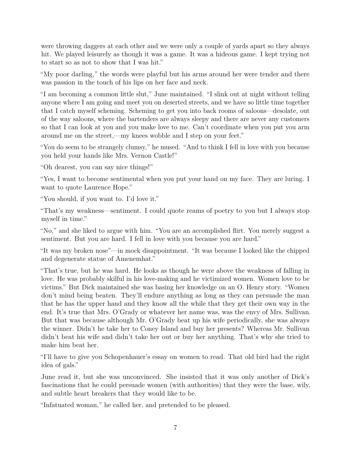were throwing daggers at each other and we were only a couple of yards apart so they always hit. We played leisurely as though it was a game. It was a hideous game. I kept trying not to start so as not to show that I was hit."

"My poor darling," the words were playful but his arms around her were tender and there was passion in the touch of his lips on her face and neck.

"I am becoming a common little slut," June maintained. "I slink out at night without telling anyone where I am going and meet you on deserted streets, and we have so little time together that I catch myself scheming. Scheming to get you into back rooms of saloons—desolate, out of the way saloons, where the bartenders are always sleepy and there are never any customers so that I can look at you and you make love to me. Can't coordinate when you put you arm around me on the street,—my knees wobble and I step on your feet."

"You do seem to be strangely clumsy," he mused. "And to think I fell in love with you because you held your hands like Mrs. Vernon Castle!"

"Oh dearest, you can say nice things!"

"Yes, I want to become sentimental when you put your hand on my face. They are luring. I want to quote Laurence Hope."

"You should, if you want to. I'd love it."

"That's my weakness—sentiment. I could quote reams of poetry to you but I always stop myself in time."

"No," and she liked to argue with him. "You are an accomplished flirt. You merely suggest a sentiment. But you are hard. I fell in love with you because you are hard."

"It was my broken nose"—in mock disappointment. "It was because I looked like the chipped and degenerate statue of Amenemhat."

"That's true, but he was hard. He looks as though he were above the weakness of falling in love. He was probably skilful in his love-making and he victimized women. Women love to be victims." But Dick maintained she was basing her knowledge on an O. Henry story. "Women don't mind being beaten. They'll endure anything as long as they can persuade the man that he has the upper hand and they know all the while that they get their own way in the end. It's true that Mrs. O'Grady or whatever her name was, was the envy of Mrs. Sullivan. But that was because although Mr. O'Grady beat up his wife periodically, she was always the winner. Didn't he take her to Coney Island and buy her presents? Whereas Mr. Sullivan didn't beat his wife and didn't take her out or buy her anything. That's why she tried to make him beat her.

"I'll have to give you Schopenhauer's essay on women to read. That old bird had the right idea of gals."

June read it, but she was unconvinced. She insisted that it was only another of Dick's fascinations that he could persuade women (with authorities) that they were the base, wily, and subtle heart breakers that they would like to be.

"Infatuated woman," he called her, and pretended to be pleased.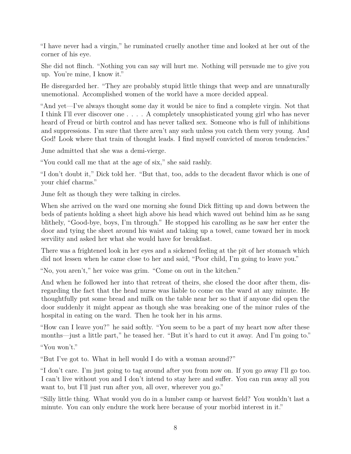"I have never had a virgin," he ruminated cruelly another time and looked at her out of the corner of his eye.

She did not flinch. "Nothing you can say will hurt me. Nothing will persuade me to give you up. You're mine, I know it."

He disregarded her. "They are probably stupid little things that weep and are unnaturally unemotional. Accomplished women of the world have a more decided appeal.

"And yet—I've always thought some day it would be nice to find a complete virgin. Not that I think I'll ever discover one . . . . A completely unsophisticated young girl who has never heard of Freud or birth control and has never talked sex. Someone who is full of inhibitions and suppressions. I'm sure that there aren't any such unless you catch them very young. And God! Look where that train of thought leads. I find myself convicted of moron tendencies."

June admitted that she was a demi-vierge.

"You could call me that at the age of six," she said rashly.

"I don't doubt it," Dick told her. "But that, too, adds to the decadent flavor which is one of your chief charms."

June felt as though they were talking in circles.

When she arrived on the ward one morning she found Dick flitting up and down between the beds of patients holding a sheet high above his head which waved out behind him as he sang blithely, "Good-bye, boys, I'm through." He stopped his carolling as he saw her enter the door and tying the sheet around his waist and taking up a towel, came toward her in mock servility and asked her what she would have for breakfast.

There was a frightened look in her eyes and a sickened feeling at the pit of her stomach which did not lessen when he came close to her and said, "Poor child, I'm going to leave you."

"No, you aren't," her voice was grim. "Come on out in the kitchen."

And when he followed her into that retreat of theirs, she closed the door after them, disregarding the fact that the head nurse was liable to come on the ward at any minute. He thoughtfully put some bread and milk on the table near her so that if anyone did open the door suddenly it might appear as though she was breaking one of the minor rules of the hospital in eating on the ward. Then he took her in his arms.

"How can I leave you?" he said softly. "You seem to be a part of my heart now after these months—just a little part," he teased her. "But it's hard to cut it away. And I'm going to."

"You won't."

"But I've got to. What in hell would I do with a woman around?"

"I don't care. I'm just going to tag around after you from now on. If you go away I'll go too. I can't live without you and I don't intend to stay here and suffer. You can run away all you want to, but I'll just run after you, all over, wherever you go."

"Silly little thing. What would you do in a lumber camp or harvest field? You wouldn't last a minute. You can only endure the work here because of your morbid interest in it."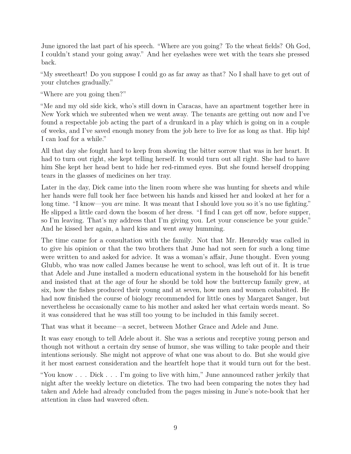June ignored the last part of his speech. "Where are you going? To the wheat fields? Oh God, I couldn't stand your going away." And her eyelashes were wet with the tears she pressed back.

"My sweetheart! Do you suppose I could go as far away as that? No I shall have to get out of your clutches gradually."

"Where are you going then?"

"Me and my old side kick, who's still down in Caracas, have an apartment together here in New York which we subrented when we went away. The tenants are getting out now and I've found a respectable job acting the part of a drunkard in a play which is going on in a couple of weeks, and I've saved enough money from the job here to live for as long as that. Hip hip! I can loaf for a while."

All that day she fought hard to keep from showing the bitter sorrow that was in her heart. It had to turn out right, she kept telling herself. It would turn out all right. She had to have him She kept her head bent to hide her red-rimmed eyes. But she found herself dropping tears in the glasses of medicines on her tray.

Later in the day, Dick came into the linen room where she was hunting for sheets and while her hands were full took her face between his hands and kissed her and looked at her for a long time. "I know—you *are* mine. It was meant that I should love you so it's no use fighting." He slipped a little card down the bosom of her dress. "I find I can get off now, before supper, so I'm leaving. That's my address that I'm giving you. Let your conscience be your guide." And he kissed her again, a hard kiss and went away humming.

The time came for a consultation with the family. Not that Mr. Henreddy was called in to give his opinion or that the two brothers that June had not seen for such a long time were written to and asked for advice. It was a woman's affair, June thought. Even young Glubb, who was now called James because he went to school, was left out of it. It is true that Adele and June installed a modern educational system in the household for his benefit and insisted that at the age of four he should be told how the buttercup family grew, at six, how the fishes produced their young and at seven, how men and women cohabited. He had now finished the course of biology recommended for little ones by Margaret Sanger, but nevertheless he occasionally came to his mother and asked her what certain words meant. So it was considered that he was still too young to be included in this family secret.

That was what it became—a secret, between Mother Grace and Adele and June.

It was easy enough to tell Adele about it. She was a serious and receptive young person and though not without a certain dry sense of humor, she was willing to take people and their intentions seriously. She might not approve of what one was about to do. But she would give it her most earnest consideration and the heartfelt hope that it would turn out for the best.

"You know . . . Dick . . . I'm going to live with him," June announced rather jerkily that night after the weekly lecture on dietetics. The two had been comparing the notes they had taken and Adele had already concluded from the pages missing in June's note-book that her attention in class had wavered often.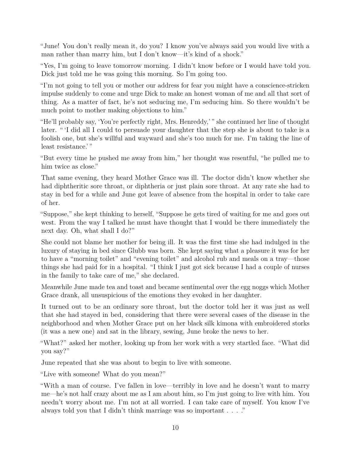"June! You don't really mean it, do you? I know you've always said you would live with a man rather than marry him, but I don't know—it's kind of a shock."

"Yes, I'm going to leave tomorrow morning. I didn't know before or I would have told you. Dick just told me he was going this morning. So I'm going too.

"I'm not going to tell you or mother our address for fear you might have a conscience-stricken impulse suddenly to come and urge Dick to make an honest woman of me and all that sort of thing. As a matter of fact, he's not seducing me, I'm seducing him. So there wouldn't be much point to mother making objections to him."

"He'll probably say, 'You're perfectly right, Mrs. Henreddy,' " she continued her line of thought later. " 'I did all I could to persuade your daughter that the step she is about to take is a foolish one, but she's willful and wayward and she's too much for me. I'm taking the line of least resistance.' "

"But every time he pushed me away from him," her thought was resentful, "he pulled me to him twice as close."

That same evening, they heard Mother Grace was ill. The doctor didn't know whether she had diphtheritic sore throat, or diphtheria or just plain sore throat. At any rate she had to stay in bed for a while and June got leave of absence from the hospital in order to take care of her.

"Suppose," she kept thinking to herself, "Suppose he gets tired of waiting for me and goes out west. From the way I talked he must have thought that I would be there immediately the next day. Oh, what shall I do?"

She could not blame her mother for being ill. It was the first time she had indulged in the luxury of staying in bed since Glubb was born. She kept saying what a pleasure it was for her to have a "morning toilet" and "evening toilet" and alcohol rub and meals on a tray—those things she had paid for in a hospital. "I think I just got sick because I had a couple of nurses in the family to take care of me," she declared.

Meanwhile June made tea and toast and became sentimental over the egg noggs which Mother Grace drank, all unsuspicious of the emotions they evoked in her daughter.

It turned out to be an ordinary sore throat, but the doctor told her it was just as well that she had stayed in bed, considering that there were several cases of the disease in the neighborhood and when Mother Grace put on her black silk kimona with embroidered storks (it was a new one) and sat in the library, sewing, June broke the news to her.

"What?" asked her mother, looking up from her work with a very startled face. "What did you say?"

June repeated that she was about to begin to live with someone.

"Live with someone! What do you mean?"

"With a man of course. I've fallen in love—terribly in love and he doesn't want to marry me—he's not half crazy about me as I am about him, so I'm just going to live with him. You needn't worry about me. I'm not at all worried. I can take care of myself. You know I've always told you that I didn't think marriage was so important . . . ."